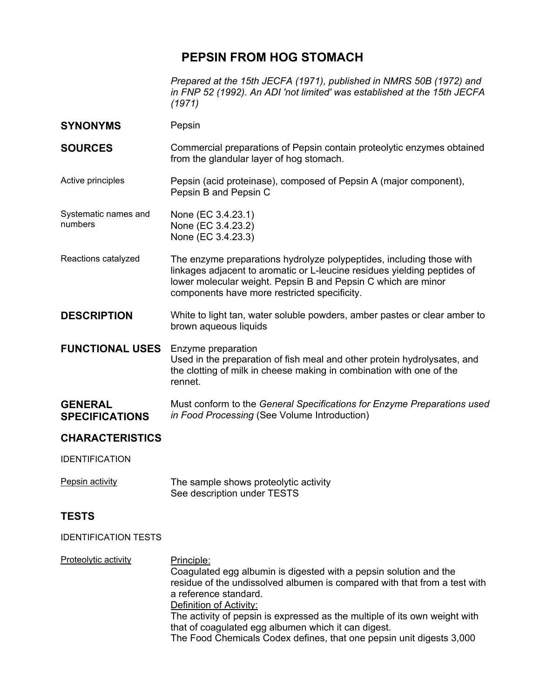## **PEPSIN FROM HOG STOMACH**

*Prepared at the 15th JECFA (1971), published in NMRS 50B (1972) and in FNP 52 (1992). An ADI 'not limited' was established at the 15th JECFA (1971)* 

**SYNONYMS** Pepsin **SOURCES Commercial preparations of Pepsin contain proteolytic enzymes obtained** from the glandular layer of hog stomach. Active principles Pepsin (acid proteinase), composed of Pepsin A (major component), Pepsin B and Pepsin C Systematic names and numbers None (EC 3.4.23.1) None (EC 3.4.23.2) None (EC 3.4.23.3) Reactions catalyzed The enzyme preparations hydrolyze polypeptides, including those with linkages adjacent to aromatic or L-leucine residues yielding peptides of lower molecular weight. Pepsin B and Pepsin C which are minor components have more restricted specificity. **DESCRIPTION** White to light tan, water soluble powders, amber pastes or clear amber to brown aqueous liquids **FUNCTIONAL USES** Enzyme preparation Used in the preparation of fish meal and other protein hydrolysates, and the clotting of milk in cheese making in combination with one of the rennet. **GENERAL SPECIFICATIONS**  Must conform to the *General Specifications for Enzyme Preparations used in Food Processing* (See Volume Introduction) **CHARACTERISTICS**  IDENTIFICATION Pepsin activity The sample shows proteolytic activity See description under TESTS

## **TESTS**

IDENTIFICATION TESTS

Proteolytic activity **Principle:** Coagulated egg albumin is digested with a pepsin solution and the residue of the undissolved albumen is compared with that from a test with a reference standard. Definition of Activity: The activity of pepsin is expressed as the multiple of its own weight with that of coagulated egg albumen which it can digest. The Food Chemicals Codex defines, that one pepsin unit digests 3,000